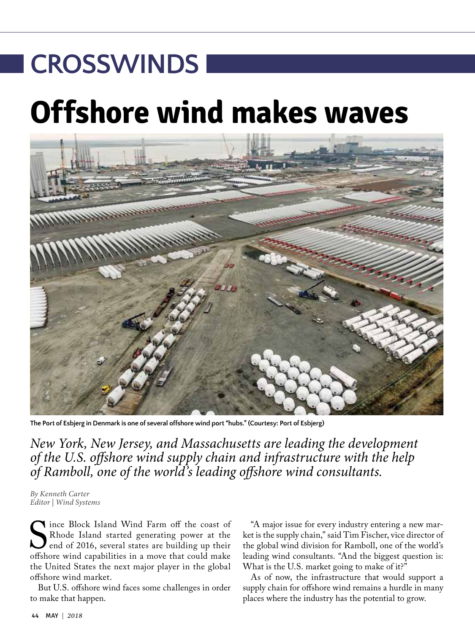# **Offshore wind makes waves CROSSWINDS**



**The Port of Esbjerg in Denmark is one of several offshore wind port "hubs." (Courtesy: Port of Esbjerg)** 

*New York, New Jersey, and Massachusetts are leading the development of the U.S. offshore wind supply chain and infrastructure with the help of Ramboll, one of the world's leading offshore wind consultants.*

*By Kenneth Carter Editor | Wind Systems*

Since Block Island Wind Farm off the coast of<br>Rhode Island started generating power at the<br>end of 2016, several states are building up their<br>offshore wind capabilities in a move that could make Rhode Island started generating power at the end of 2016, several states are building up their offshore wind capabilities in a move that could make the United States the next major player in the global offshore wind market.

But U.S. offshore wind faces some challenges in order to make that happen.

"A major issue for every industry entering a new market is the supply chain," said Tim Fischer, vice director of the global wind division for Ramboll, one of the world's leading wind consultants. "And the biggest question is: What is the U.S. market going to make of it?"

As of now, the infrastructure that would support a supply chain for offshore wind remains a hurdle in many places where the industry has the potential to grow.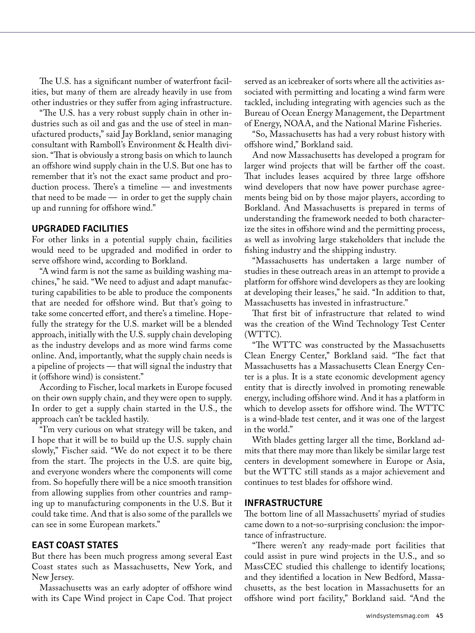The U.S. has a significant number of waterfront facilities, but many of them are already heavily in use from other industries or they suffer from aging infrastructure.

"The U.S. has a very robust supply chain in other industries such as oil and gas and the use of steel in manufactured products," said Jay Borkland, senior managing consultant with Ramboll's Environment & Health division. "That is obviously a strong basis on which to launch an offshore wind supply chain in the U.S. But one has to remember that it's not the exact same product and production process. There's a timeline — and investments that need to be made  $-$  in order to get the supply chain up and running for offshore wind."

### **UPGRADED FACILITIES**

For other links in a potential supply chain, facilities would need to be upgraded and modified in order to serve offshore wind, according to Borkland.

"A wind farm is not the same as building washing machines," he said. "We need to adjust and adapt manufacturing capabilities to be able to produce the components that are needed for offshore wind. But that's going to take some concerted effort, and there's a timeline. Hopefully the strategy for the U.S. market will be a blended approach, initially with the U.S. supply chain developing as the industry develops and as more wind farms come online. And, importantly, what the supply chain needs is a pipeline of projects — that will signal the industry that it (offshore wind) is consistent."

According to Fischer, local markets in Europe focused on their own supply chain, and they were open to supply. In order to get a supply chain started in the U.S., the approach can't be tackled hastily.

"I'm very curious on what strategy will be taken, and I hope that it will be to build up the U.S. supply chain slowly," Fischer said. "We do not expect it to be there from the start. The projects in the U.S. are quite big, and everyone wonders where the components will come from. So hopefully there will be a nice smooth transition from allowing supplies from other countries and ramping up to manufacturing components in the U.S. But it could take time. And that is also some of the parallels we can see in some European markets."

## **EAST COAST STATES**

But there has been much progress among several East Coast states such as Massachusetts, New York, and New Jersey.

Massachusetts was an early adopter of offshore wind with its Cape Wind project in Cape Cod. That project served as an icebreaker of sorts where all the activities associated with permitting and locating a wind farm were tackled, including integrating with agencies such as the Bureau of Ocean Energy Management, the Department of Energy, NOAA, and the National Marine Fisheries.

"So, Massachusetts has had a very robust history with offshore wind," Borkland said.

And now Massachusetts has developed a program for larger wind projects that will be farther off the coast. That includes leases acquired by three large offshore wind developers that now have power purchase agreements being bid on by those major players, according to Borkland. And Massachusetts is prepared in terms of understanding the framework needed to both characterize the sites in offshore wind and the permitting process, as well as involving large stakeholders that include the fishing industry and the shipping industry.

"Massachusetts has undertaken a large number of studies in these outreach areas in an attempt to provide a platform for offshore wind developers as they are looking at developing their leases," he said. "In addition to that, Massachusetts has invested in infrastructure."

That first bit of infrastructure that related to wind was the creation of the Wind Technology Test Center (WTTC).

"The WTTC was constructed by the Massachusetts Clean Energy Center," Borkland said. "The fact that Massachusetts has a Massachusetts Clean Energy Center is a plus. It is a state economic development agency entity that is directly involved in promoting renewable energy, including offshore wind. And it has a platform in which to develop assets for offshore wind. The WTTC is a wind-blade test center, and it was one of the largest in the world."

With blades getting larger all the time, Borkland admits that there may more than likely be similar large test centers in development somewhere in Europe or Asia, but the WTTC still stands as a major achievement and continues to test blades for offshore wind.

## **INFRASTRUCTURE**

The bottom line of all Massachusetts' myriad of studies came down to a not-so-surprising conclusion: the importance of infrastructure.

"There weren't any ready-made port facilities that could assist in pure wind projects in the U.S., and so MassCEC studied this challenge to identify locations; and they identified a location in New Bedford, Massachusetts, as the best location in Massachusetts for an offshore wind port facility," Borkland said. "And the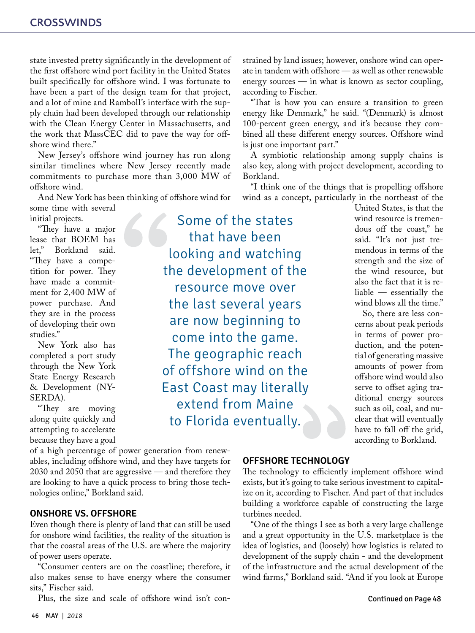state invested pretty significantly in the development of the first offshore wind port facility in the United States built specifically for offshore wind. I was fortunate to have been a part of the design team for that project, and a lot of mine and Ramboll's interface with the supply chain had been developed through our relationship with the Clean Energy Center in Massachusetts, and the work that MassCEC did to pave the way for offshore wind there."

New Jersey's offshore wind journey has run along similar timelines where New Jersey recently made commitments to purchase more than 3,000 MW of offshore wind.

And New York has been thinking of offshore wind for some time with several

initial projects.

"They have a major lease that BOEM has<br>let." Borkland said. Borkland said. "They have a competition for power. They have made a commitment for 2,400 MW of power purchase. And they are in the process of developing their own studies."

New York also has completed a port study through the New York State Energy Research & Development (NY-SERDA).

"They are moving along quite quickly and attempting to accelerate because they have a goal

of a high percentage of power generation from renewables, including offshore wind, and they have targets for 2030 and 2050 that are aggressive — and therefore they are looking to have a quick process to bring those technologies online," Borkland said.

## **ONSHORE VS. OFFSHORE**

Even though there is plenty of land that can still be used for onshore wind facilities, the reality of the situation is that the coastal areas of the U.S. are where the majority of power users operate.

"Consumer centers are on the coastline; therefore, it also makes sense to have energy where the consumer sits," Fischer said.

Plus, the size and scale of offshore wind isn't con-

Some of the states that have been looking and watching the development of the resource move over the last several years are now beginning to come into the game. The geographic reach of offshore wind on the East Coast may literally extend from Maine to Florida eventually.

strained by land issues; however, onshore wind can operate in tandem with offshore — as well as other renewable energy sources — in what is known as sector coupling, according to Fischer.

"That is how you can ensure a transition to green energy like Denmark," he said. "(Denmark) is almost 100-percent green energy, and it's because they combined all these different energy sources. Offshore wind is just one important part."

A symbiotic relationship among supply chains is also key, along with project development, according to Borkland.

"I think one of the things that is propelling offshore wind as a concept, particularly in the northeast of the

United States, is that the wind resource is tremendous off the coast," he said. "It's not just tremendous in terms of the strength and the size of the wind resource, but also the fact that it is reliable — essentially the wind blows all the time."

So, there are less concerns about peak periods in terms of power production, and the potential of generating massive amounts of power from offshore wind would also serve to offset aging traditional energy sources such as oil, coal, and nuclear that will eventually have to fall off the grid, according to Borkland.

**OFFSHORE TECHNOLOGY**

The technology to efficiently implement offshore wind exists, but it's going to take serious investment to capitalize on it, according to Fischer. And part of that includes building a workforce capable of constructing the large turbines needed.

"One of the things I see as both a very large challenge and a great opportunity in the U.S. marketplace is the idea of logistics, and (loosely) how logistics is related to development of the supply chain - and the development of the infrastructure and the actual development of the wind farms," Borkland said. "And if you look at Europe